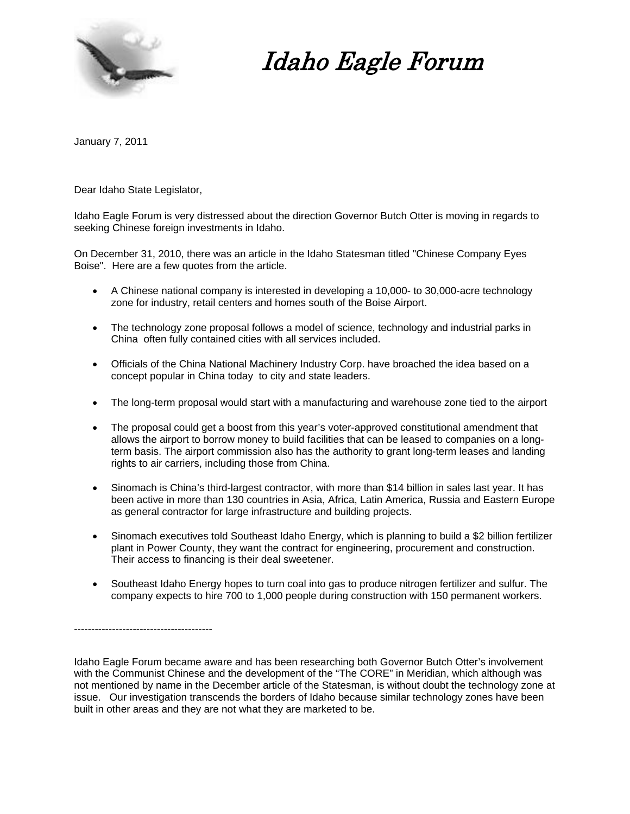

Idaho Eagle Forum

January 7, 2011

Dear Idaho State Legislator,

----------------------------------------

Idaho Eagle Forum is very distressed about the direction Governor Butch Otter is moving in regards to seeking Chinese foreign investments in Idaho.

On December 31, 2010, there was an article in the Idaho Statesman titled "Chinese Company Eyes Boise". Here are a few quotes from the article.

- A Chinese national company is interested in developing a 10,000- to 30,000-acre technology zone for industry, retail centers and homes south of the Boise Airport.
- The technology zone proposal follows a model of science, technology and industrial parks in China often fully contained cities with all services included.
- Officials of the China National Machinery Industry Corp. have broached the idea based on a concept popular in China today to city and state leaders.
- The long-term proposal would start with a manufacturing and warehouse zone tied to the airport
- The proposal could get a boost from this year's voter-approved constitutional amendment that allows the airport to borrow money to build facilities that can be leased to companies on a longterm basis. The airport commission also has the authority to grant long-term leases and landing rights to air carriers, including those from China.
- Sinomach is China's third-largest contractor, with more than \$14 billion in sales last year. It has been active in more than 130 countries in Asia, Africa, Latin America, Russia and Eastern Europe as general contractor for large infrastructure and building projects.
- Sinomach executives told Southeast Idaho Energy, which is planning to build a \$2 billion fertilizer plant in Power County, they want the contract for engineering, procurement and construction. Their access to financing is their deal sweetener.
- Southeast Idaho Energy hopes to turn coal into gas to produce nitrogen fertilizer and sulfur. The company expects to hire 700 to 1,000 people during construction with 150 permanent workers.

Idaho Eagle Forum became aware and has been researching both Governor Butch Otter's involvement with the Communist Chinese and the development of the "The CORE" in Meridian, which although was not mentioned by name in the December article of the Statesman, is without doubt the technology zone at issue. Our investigation transcends the borders of Idaho because similar technology zones have been built in other areas and they are not what they are marketed to be.